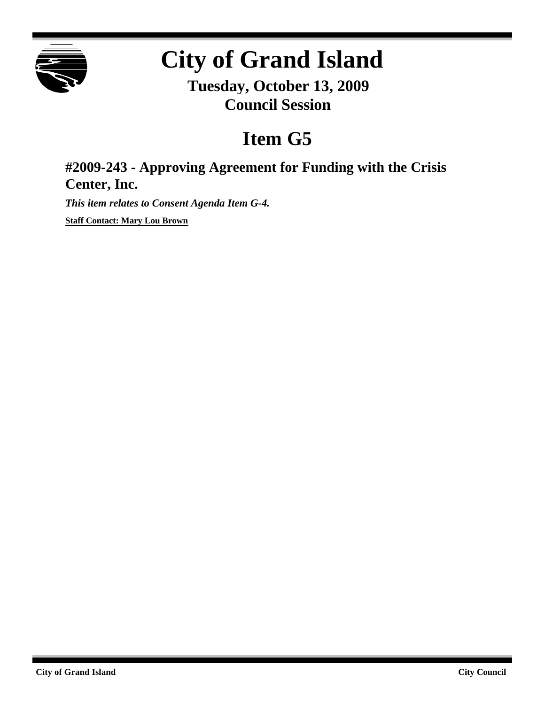

# **City of Grand Island**

**Tuesday, October 13, 2009 Council Session**

## **Item G5**

### **#2009-243 - Approving Agreement for Funding with the Crisis Center, Inc.**

*This item relates to Consent Agenda Item G-4.*

**Staff Contact: Mary Lou Brown**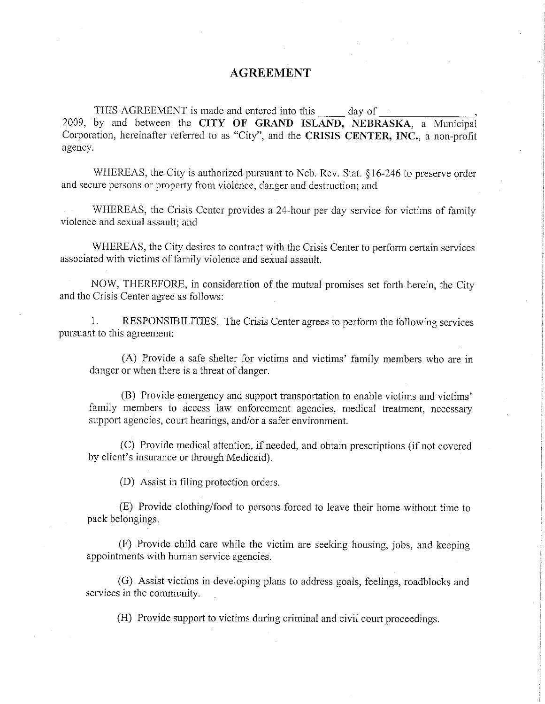#### **AGREEMENT**

THIS AGREEMENT is made and entered into this day of 2009, by and between the CITY OF GRAND ISLAND, NEBRASKA, a Municipal Corporation, hereinafter referred to as "City", and the CRISIS CENTER, INC., a non-profit agency.

WHEREAS, the City is authorized pursuant to Neb. Rev. Stat. §16-246 to preserve order and secure persons or property from violence, danger and destruction; and

WHEREAS, the Crisis Center provides a 24-hour per day service for victims of family violence and sexual assault; and

WHEREAS, the City desires to contract with the Crisis Center to perform certain services associated with victims of family violence and sexual assault.

NOW, THEREFORE, in consideration of the mutual promises set forth herein, the City and the Crisis Center agree as follows:

 $1.$ RESPONSIBILITIES. The Crisis Center agrees to perform the following services pursuant to this agreement:

(A) Provide a safe shelter for victims and victims' family members who are in danger or when there is a threat of danger.

(B) Provide emergency and support transportation to enable victims and victims' family members to access law enforcement agencies, medical treatment, necessary support agencies, court hearings, and/or a safer environment.

(C) Provide medical attention, if needed, and obtain prescriptions (if not covered by client's insurance or through Medicaid).

(D) Assist in filing protection orders.

(E) Provide clothing/food to persons forced to leave their home without time to pack belongings.

(F) Provide child care while the victim are seeking housing, jobs, and keeping appointments with human service agencies.

(G) Assist victims in developing plans to address goals, feelings, roadblocks and services in the community.

(H) Provide support to victims during criminal and civil court proceedings.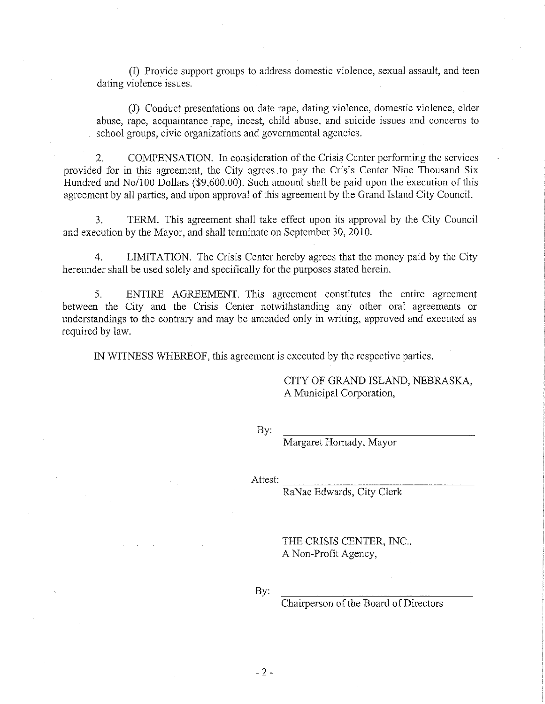(I) Provide support groups to address domestic violence, sexual assault, and teen dating violence issues.

(J) Conduct presentations on date rape, dating violence, domestic violence, elder abuse, rape, acquaintance rape, incest, child abuse, and suicide issues and concerns to school groups, civic organizations and governmental agencies.

 $\overline{2}$ . COMPENSATION. In consideration of the Crisis Center performing the services provided for in this agreement, the City agrees to pay the Crisis Center Nine Thousand Six Hundred and No/100 Dollars (\$9,600.00). Such amount shall be paid upon the execution of this agreement by all parties, and upon approval of this agreement by the Grand Island City Council.

TERM. This agreement shall take effect upon its approval by the City Council  $3<sub>1</sub>$ and execution by the Mayor, and shall terminate on September 30, 2010.

 $4.$ LIMITATION. The Crisis Center hereby agrees that the money paid by the City hereunder shall be used solely and specifically for the purposes stated herein.

5. ENTIRE AGREEMENT. This agreement constitutes the entire agreement between the City and the Crisis Center notwithstanding any other oral agreements or understandings to the contrary and may be amended only in writing, approved and executed as required by law.

IN WITNESS WHEREOF, this agreement is executed by the respective parties.

CITY OF GRAND ISLAND, NEBRASKA, A Municipal Corporation,

By:

Margaret Hornady, Mayor

Attest:

RaNae Edwards, City Clerk

THE CRISIS CENTER, INC., A Non-Profit Agency,

By:

Chairperson of the Board of Directors

 $-2-$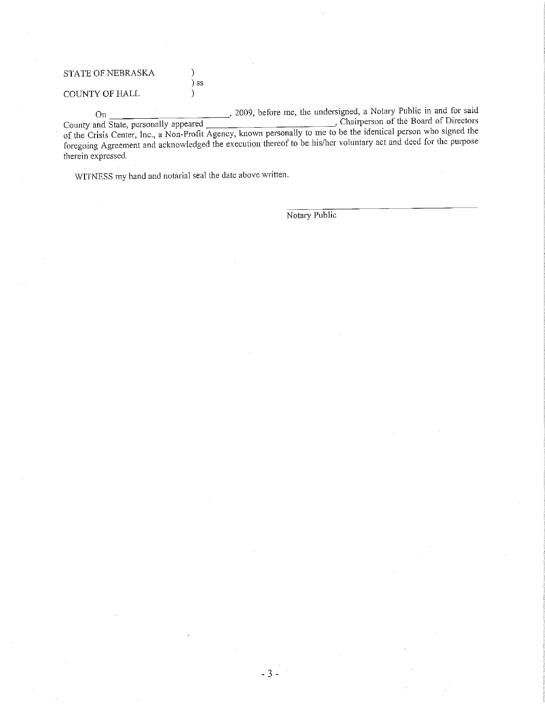#### STATE OF NEBRASKA

COUNTY OF HALL

, 2009, before me, the undersigned, a Notary Public in and for said On Chairperson of the Board of Directors County and State, personally appeared of the Crisis Center, Inc., a Non-Profit Agency, known personally to me to be the identical person who signed the foregoing Agreement and acknowledged the execution thereof to be his/her voluntary act and deed for the purpose therein expressed.

WITNESS my hand and notarial seal the date above written.

 $\lambda$ ) ss

 $\mathcal{L}$ 

Notary Public